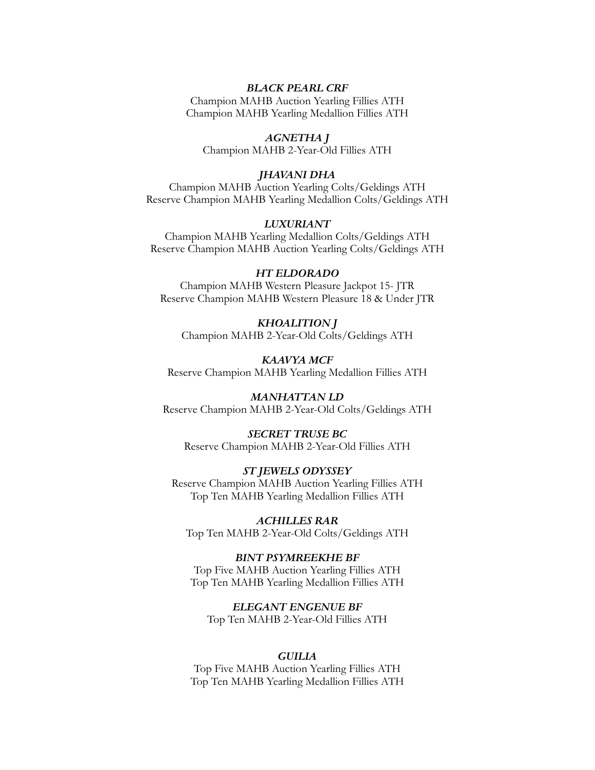## *BLACK PEARL CRF*

Champion MAHB Auction Yearling Fillies ATH Champion MAHB Yearling Medallion Fillies ATH

## *AGNETHA J*

Champion MAHB 2-Year-Old Fillies ATH

#### *JHAVANI DHA*

Champion MAHB Auction Yearling Colts/Geldings ATH Reserve Champion MAHB Yearling Medallion Colts/Geldings ATH

## *LUXURIANT*

Champion MAHB Yearling Medallion Colts/Geldings ATH Reserve Champion MAHB Auction Yearling Colts/Geldings ATH

## *HT ELDORADO*

Champion MAHB Western Pleasure Jackpot 15- JTR Reserve Champion MAHB Western Pleasure 18 & Under JTR

## *KHOALITION J* Champion MAHB 2-Year-Old Colts/Geldings ATH

*KAAVYA MCF* Reserve Champion MAHB Yearling Medallion Fillies ATH

*MANHATTAN LD* Reserve Champion MAHB 2-Year-Old Colts/Geldings ATH

*SECRET TRUSE BC* Reserve Champion MAHB 2-Year-Old Fillies ATH

#### *ST JEWELS ODYSSEY*

Reserve Champion MAHB Auction Yearling Fillies ATH Top Ten MAHB Yearling Medallion Fillies ATH

*ACHILLES RAR* Top Ten MAHB 2-Year-Old Colts/Geldings ATH

*BINT PSYMREEKHE BF* Top Five MAHB Auction Yearling Fillies ATH Top Ten MAHB Yearling Medallion Fillies ATH

*ELEGANT ENGENUE BF* Top Ten MAHB 2-Year-Old Fillies ATH

#### *GUILIA*

Top Five MAHB Auction Yearling Fillies ATH Top Ten MAHB Yearling Medallion Fillies ATH